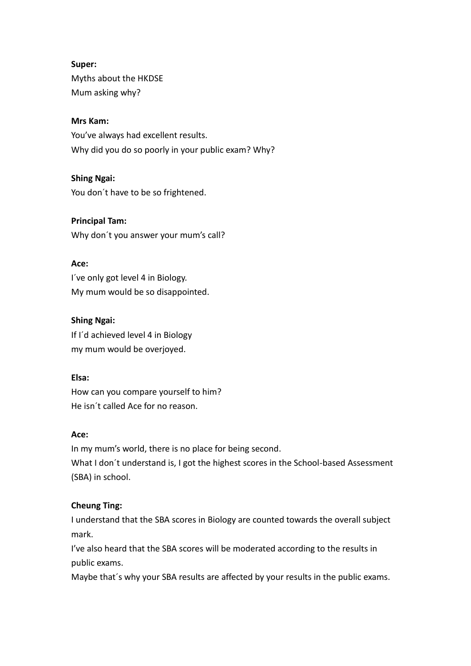# **Super:**

Myths about the HKDSE Mum asking why?

# **Mrs Kam:**

You've always had excellent results. Why did you do so poorly in your public exam? Why?

# **Shing Ngai:**

You don´t have to be so frightened.

# **Principal Tam:**

Why don't you answer your mum's call?

# **Ace:**

I´ve only got level 4 in Biology. My mum would be so disappointed.

# **Shing Ngai:**

If I´d achieved level 4 in Biology my mum would be overjoyed.

# **Elsa:**

How can you compare yourself to him? He isn´t called Ace for no reason.

# **Ace:**

In my mum's world, there is no place for being second. What I don´t understand is, I got the highest scores in the School-based Assessment (SBA) in school.

# **Cheung Ting:**

I understand that the SBA scores in Biology are counted towards the overall subject mark.

I've also heard that the SBA scores will be moderated according to the results in public exams.

Maybe that´s why your SBA results are affected by your results in the public exams.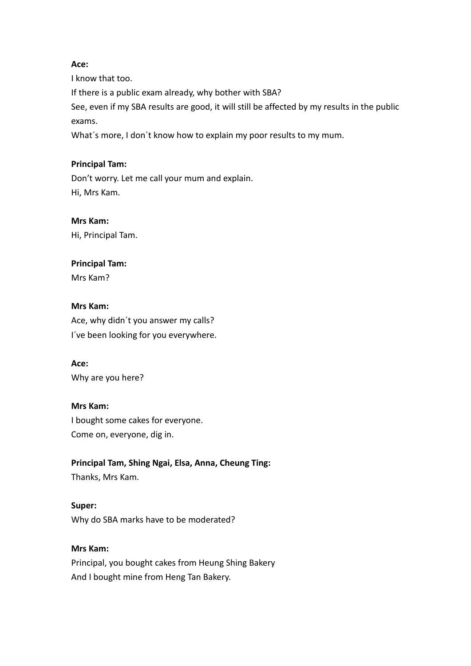#### **Ace:**

I know that too. If there is a public exam already, why bother with SBA? See, even if my SBA results are good, it will still be affected by my results in the public exams. What´s more, I don´t know how to explain my poor results to my mum.

#### **Principal Tam:**

Don't worry. Let me call your mum and explain. Hi, Mrs Kam.

## **Mrs Kam:**

Hi, Principal Tam.

#### **Principal Tam:**

Mrs Kam?

#### **Mrs Kam:**

Ace, why didn´t you answer my calls? I´ve been looking for you everywhere.

#### **Ace:**

Why are you here?

#### **Mrs Kam:**

I bought some cakes for everyone. Come on, everyone, dig in.

# **Principal Tam, Shing Ngai, Elsa, Anna, Cheung Ting:**

Thanks, Mrs Kam.

**Super:** Why do SBA marks have to be moderated?

#### **Mrs Kam:**

Principal, you bought cakes from Heung Shing Bakery And I bought mine from Heng Tan Bakery.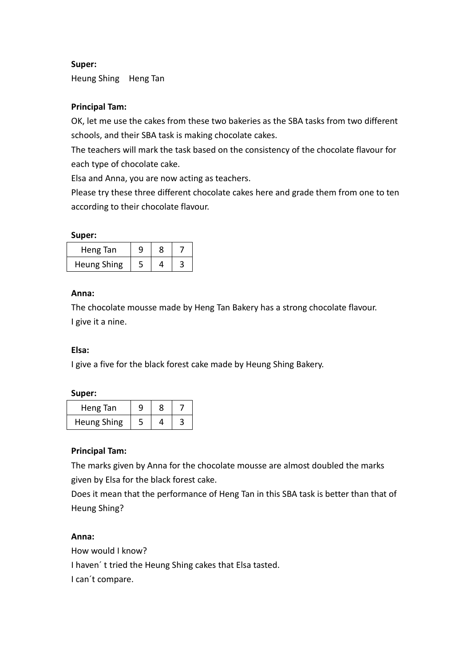# **Super:**

Heung Shing Heng Tan

# **Principal Tam:**

OK, let me use the cakes from these two bakeries as the SBA tasks from two different schools, and their SBA task is making chocolate cakes.

The teachers will mark the task based on the consistency of the chocolate flavour for each type of chocolate cake.

Elsa and Anna, you are now acting as teachers.

Please try these three different chocolate cakes here and grade them from one to ten according to their chocolate flavour.

#### **Super:**

| Heng Tan           |  |  |
|--------------------|--|--|
| <b>Heung Shing</b> |  |  |

#### **Anna:**

The chocolate mousse made by Heng Tan Bakery has a strong chocolate flavour. I give it a nine.

#### **Elsa:**

I give a five for the black forest cake made by Heung Shing Bakery.

#### **Super:**

| Heng Tan           |  |  |
|--------------------|--|--|
| <b>Heung Shing</b> |  |  |

#### **Principal Tam:**

The marks given by Anna for the chocolate mousse are almost doubled the marks given by Elsa for the black forest cake.

Does it mean that the performance of Heng Tan in this SBA task is better than that of Heung Shing?

#### **Anna:**

How would I know? I haven´ t tried the Heung Shing cakes that Elsa tasted. I can´t compare.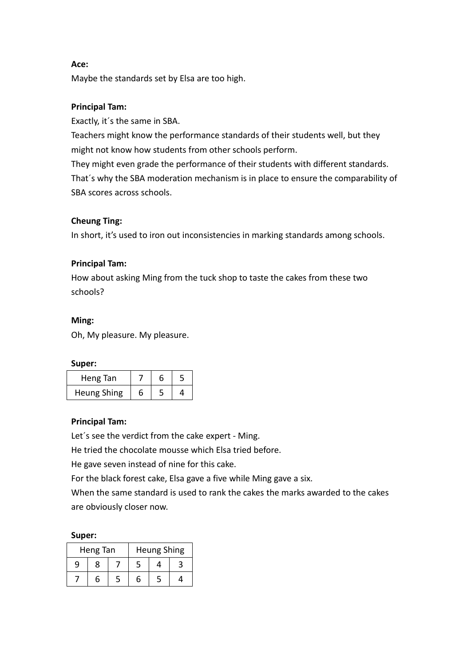#### **Ace:**

Maybe the standards set by Elsa are too high.

## **Principal Tam:**

Exactly, it´s the same in SBA.

Teachers might know the performance standards of their students well, but they might not know how students from other schools perform.

They might even grade the performance of their students with different standards. That´s why the SBA moderation mechanism is in place to ensure the comparability of SBA scores across schools.

## **Cheung Ting:**

In short, it's used to iron out inconsistencies in marking standards among schools.

## **Principal Tam:**

How about asking Ming from the tuck shop to taste the cakes from these two schools?

#### **Ming:**

Oh, My pleasure. My pleasure.

**Super:**

| Heng Tan    |   | n |  |
|-------------|---|---|--|
| Heung Shing | h |   |  |

#### **Principal Tam:**

Let´s see the verdict from the cake expert - Ming.

He tried the chocolate mousse which Elsa tried before.

He gave seven instead of nine for this cake.

For the black forest cake, Elsa gave a five while Ming gave a six.

When the same standard is used to rank the cakes the marks awarded to the cakes are obviously closer now.

#### **Super:**

|   | Heng Tan |   | <b>Heung Shing</b> |  |
|---|----------|---|--------------------|--|
| q | 8        |   |                    |  |
|   | 6        | h |                    |  |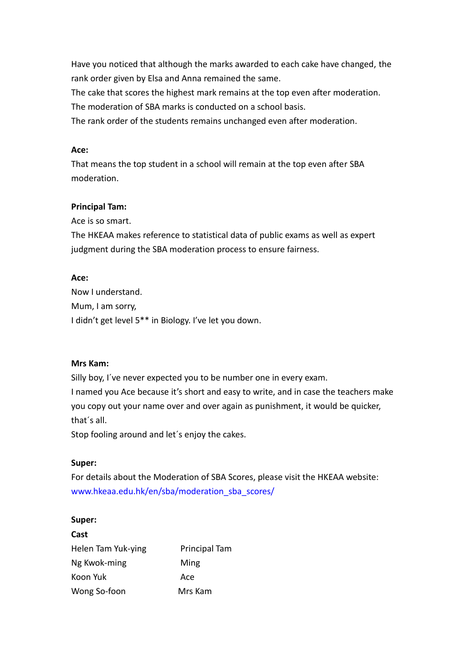Have you noticed that although the marks awarded to each cake have changed, the rank order given by Elsa and Anna remained the same.

The cake that scores the highest mark remains at the top even after moderation.

The moderation of SBA marks is conducted on a school basis.

The rank order of the students remains unchanged even after moderation.

#### **Ace:**

That means the top student in a school will remain at the top even after SBA moderation.

# **Principal Tam:**

Ace is so smart.

The HKEAA makes reference to statistical data of public exams as well as expert judgment during the SBA moderation process to ensure fairness.

## **Ace:**

Now I understand. Mum, I am sorry, I didn't get level 5\*\* in Biology. I've let you down.

# **Mrs Kam:**

Silly boy, I´ve never expected you to be number one in every exam. I named you Ace because it's short and easy to write, and in case the teachers make you copy out your name over and over again as punishment, it would be quicker, that´s all.

Stop fooling around and let´s enjoy the cakes.

# **Super:**

For details about the Moderation of SBA Scores, please visit the HKEAA website: [www.hkeaa.edu.hk/en/sba/moderation\\_sba\\_scores/](http://www.hkeaa.edu.hk/en/sba/moderation_sba_scores/)

#### **Super:**

| Cast               |                      |
|--------------------|----------------------|
| Helen Tam Yuk-ying | <b>Principal Tam</b> |
| Ng Kwok-ming       | Ming                 |
| Koon Yuk           | Ace                  |
| Wong So-foon       | Mrs Kam              |